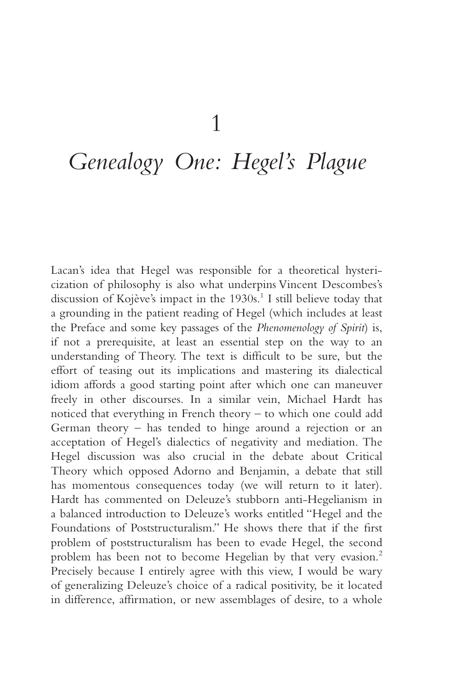Lacan's idea that Hegel was responsible for a theoretical hystericization of philosophy is also what underpins Vincent Descombes's discussion of Kojève's impact in the  $1930s<sup>1</sup>$  I still believe today that a grounding in the patient reading of Hegel (which includes at least the Preface and some key passages of the *Phenomenology of Spirit*) is, if not a prerequisite, at least an essential step on the way to an understanding of Theory. The text is difficult to be sure, but the effort of teasing out its implications and mastering its dialectical idiom affords a good starting point after which one can maneuver freely in other discourses. In a similar vein, Michael Hardt has noticed that everything in French theory – to which one could add German theory – has tended to hinge around a rejection or an acceptation of Hegel's dialectics of negativity and mediation. The Hegel discussion was also crucial in the debate about Critical Theory which opposed Adorno and Benjamin, a debate that still has momentous consequences today (we will return to it later). Hardt has commented on Deleuze's stubborn anti-Hegelianism in a balanced introduction to Deleuze's works entitled "Hegel and the Foundations of Poststructuralism." He shows there that if the first problem of poststructuralism has been to evade Hegel, the second problem has been not to become Hegelian by that very evasion.<sup>2</sup> Precisely because I entirely agree with this view, I would be wary of generalizing Deleuze's choice of a radical positivity, be it located in difference, affirmation, or new assemblages of desire, to a whole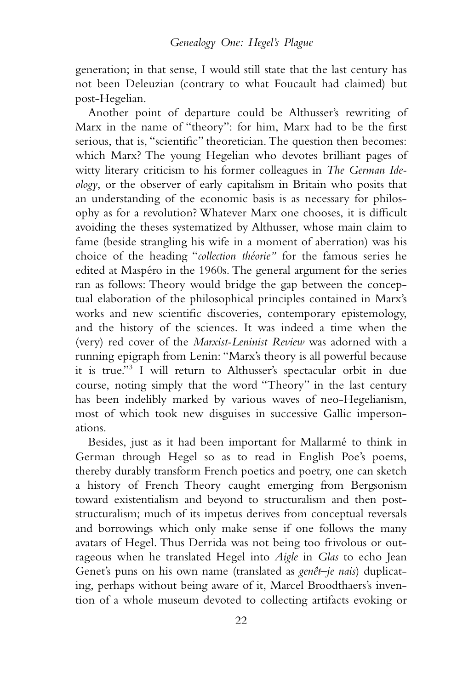generation; in that sense, I would still state that the last century has not been Deleuzian (contrary to what Foucault had claimed) but post-Hegelian.

Another point of departure could be Althusser's rewriting of Marx in the name of "theory": for him, Marx had to be the first serious, that is, "scientific" theoretician. The question then becomes: which Marx? The young Hegelian who devotes brilliant pages of witty literary criticism to his former colleagues in *The German Ideology*, or the observer of early capitalism in Britain who posits that an understanding of the economic basis is as necessary for philosophy as for a revolution? Whatever Marx one chooses, it is difficult avoiding the theses systematized by Althusser, whose main claim to fame (beside strangling his wife in a moment of aberration) was his choice of the heading "*collection théorie"* for the famous series he edited at Maspéro in the 1960s. The general argument for the series ran as follows: Theory would bridge the gap between the conceptual elaboration of the philosophical principles contained in Marx's works and new scientific discoveries, contemporary epistemology, and the history of the sciences. It was indeed a time when the (very) red cover of the *Marxist-Leninist Review* was adorned with a running epigraph from Lenin: "Marx's theory is all powerful because it is true."3 I will return to Althusser's spectacular orbit in due course, noting simply that the word "Theory" in the last century has been indelibly marked by various waves of neo-Hegelianism, most of which took new disguises in successive Gallic impersonations.

Besides, just as it had been important for Mallarmé to think in German through Hegel so as to read in English Poe's poems, thereby durably transform French poetics and poetry, one can sketch a history of French Theory caught emerging from Bergsonism toward existentialism and beyond to structuralism and then poststructuralism; much of its impetus derives from conceptual reversals and borrowings which only make sense if one follows the many avatars of Hegel. Thus Derrida was not being too frivolous or outrageous when he translated Hegel into *Aigle* in *Glas* to echo Jean Genet's puns on his own name (translated as *genêt*–*je nais*) duplicating, perhaps without being aware of it, Marcel Broodthaers's invention of a whole museum devoted to collecting artifacts evoking or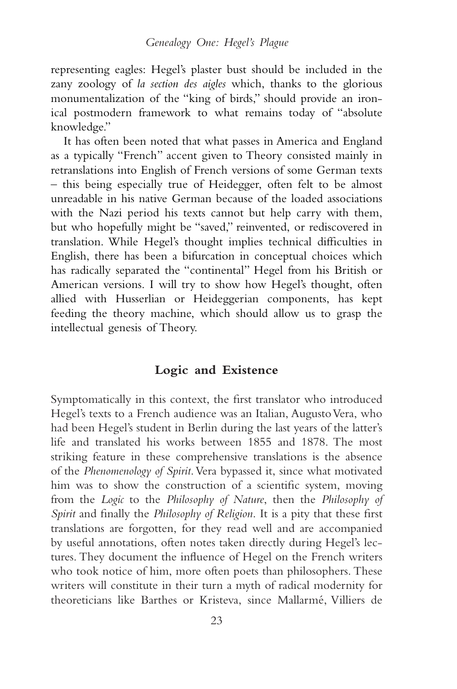representing eagles: Hegel's plaster bust should be included in the zany zoology of *la section des aigles* which, thanks to the glorious monumentalization of the "king of birds," should provide an ironical postmodern framework to what remains today of "absolute knowledge."

It has often been noted that what passes in America and England as a typically "French" accent given to Theory consisted mainly in retranslations into English of French versions of some German texts – this being especially true of Heidegger, often felt to be almost unreadable in his native German because of the loaded associations with the Nazi period his texts cannot but help carry with them, but who hopefully might be "saved," reinvented, or rediscovered in translation. While Hegel's thought implies technical difficulties in English, there has been a bifurcation in conceptual choices which has radically separated the "continental" Hegel from his British or American versions. I will try to show how Hegel's thought, often allied with Husserlian or Heideggerian components, has kept feeding the theory machine, which should allow us to grasp the intellectual genesis of Theory.

## **Logic and Existence**

Symptomatically in this context, the first translator who introduced Hegel's texts to a French audience was an Italian, Augusto Vera, who had been Hegel's student in Berlin during the last years of the latter's life and translated his works between 1855 and 1878. The most striking feature in these comprehensive translations is the absence of the *Phenomenology of Spirit*.Vera bypassed it, since what motivated him was to show the construction of a scientific system, moving from the *Logic* to the *Philosophy of Nature*, then the *Philosophy of Spirit* and finally the *Philosophy of Religion*. It is a pity that these first translations are forgotten, for they read well and are accompanied by useful annotations, often notes taken directly during Hegel's lectures. They document the influence of Hegel on the French writers who took notice of him, more often poets than philosophers. These writers will constitute in their turn a myth of radical modernity for theoreticians like Barthes or Kristeva, since Mallarmé, Villiers de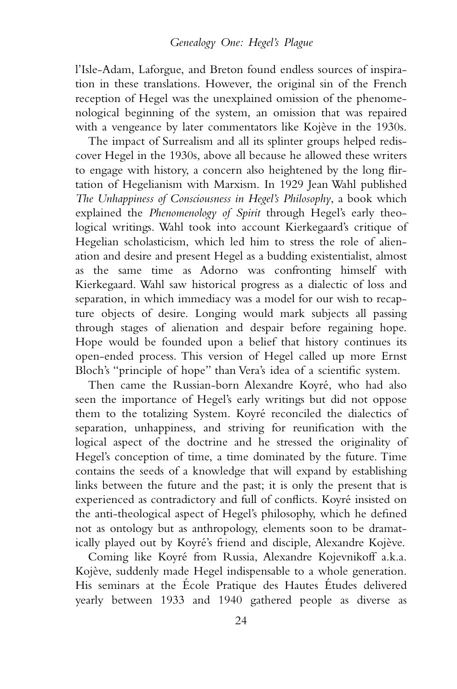l'Isle-Adam, Laforgue, and Breton found endless sources of inspiration in these translations. However, the original sin of the French reception of Hegel was the unexplained omission of the phenomenological beginning of the system, an omission that was repaired with a vengeance by later commentators like Kojève in the 1930s.

The impact of Surrealism and all its splinter groups helped rediscover Hegel in the 1930s, above all because he allowed these writers to engage with history, a concern also heightened by the long flirtation of Hegelianism with Marxism. In 1929 Jean Wahl published *The Unhappiness of Consciousness in Hegel's Philosophy*, a book which explained the *Phenomenology of Spirit* through Hegel's early theological writings. Wahl took into account Kierkegaard's critique of Hegelian scholasticism, which led him to stress the role of alienation and desire and present Hegel as a budding existentialist, almost as the same time as Adorno was confronting himself with Kierkegaard. Wahl saw historical progress as a dialectic of loss and separation, in which immediacy was a model for our wish to recapture objects of desire. Longing would mark subjects all passing through stages of alienation and despair before regaining hope. Hope would be founded upon a belief that history continues its open-ended process. This version of Hegel called up more Ernst Bloch's "principle of hope" than Vera's idea of a scientific system.

Then came the Russian-born Alexandre Koyré, who had also seen the importance of Hegel's early writings but did not oppose them to the totalizing System. Koyré reconciled the dialectics of separation, unhappiness, and striving for reunification with the logical aspect of the doctrine and he stressed the originality of Hegel's conception of time, a time dominated by the future. Time contains the seeds of a knowledge that will expand by establishing links between the future and the past; it is only the present that is experienced as contradictory and full of conflicts. Koyré insisted on the anti-theological aspect of Hegel's philosophy, which he defined not as ontology but as anthropology, elements soon to be dramatically played out by Koyré's friend and disciple, Alexandre Kojève.

Coming like Koyré from Russia, Alexandre Kojevnikoff a.k.a. Kojève, suddenly made Hegel indispensable to a whole generation. His seminars at the École Pratique des Hautes Études delivered yearly between 1933 and 1940 gathered people as diverse as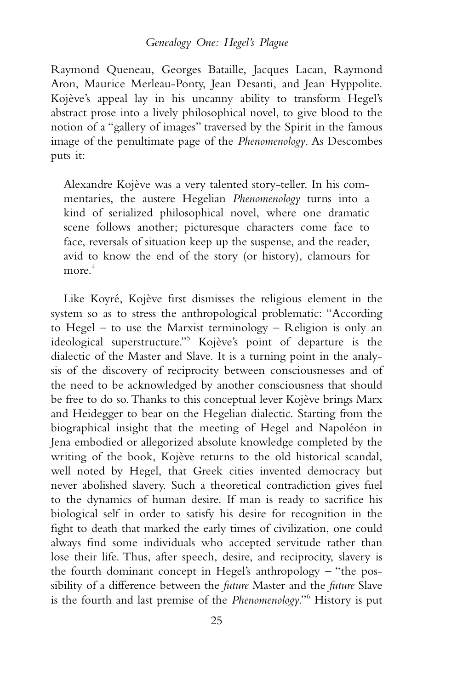Raymond Queneau, Georges Bataille, Jacques Lacan, Raymond Aron, Maurice Merleau-Ponty, Jean Desanti, and Jean Hyppolite. Kojève's appeal lay in his uncanny ability to transform Hegel's abstract prose into a lively philosophical novel, to give blood to the notion of a "gallery of images" traversed by the Spirit in the famous image of the penultimate page of the *Phenomenology*. As Descombes puts it:

Alexandre Kojève was a very talented story-teller. In his commentaries, the austere Hegelian *Phenomenology* turns into a kind of serialized philosophical novel, where one dramatic scene follows another; picturesque characters come face to face, reversals of situation keep up the suspense, and the reader, avid to know the end of the story (or history), clamours for more  $4$ 

Like Koyré, Kojève first dismisses the religious element in the system so as to stress the anthropological problematic: "According to Hegel – to use the Marxist terminology – Religion is only an ideological superstructure."5 Kojève's point of departure is the dialectic of the Master and Slave. It is a turning point in the analysis of the discovery of reciprocity between consciousnesses and of the need to be acknowledged by another consciousness that should be free to do so. Thanks to this conceptual lever Kojève brings Marx and Heidegger to bear on the Hegelian dialectic. Starting from the biographical insight that the meeting of Hegel and Napoléon in Jena embodied or allegorized absolute knowledge completed by the writing of the book, Kojève returns to the old historical scandal, well noted by Hegel, that Greek cities invented democracy but never abolished slavery. Such a theoretical contradiction gives fuel to the dynamics of human desire. If man is ready to sacrifice his biological self in order to satisfy his desire for recognition in the fight to death that marked the early times of civilization, one could always find some individuals who accepted servitude rather than lose their life. Thus, after speech, desire, and reciprocity, slavery is the fourth dominant concept in Hegel's anthropology – "the possibility of a difference between the *future* Master and the *future* Slave is the fourth and last premise of the *Phenomenology*."6 History is put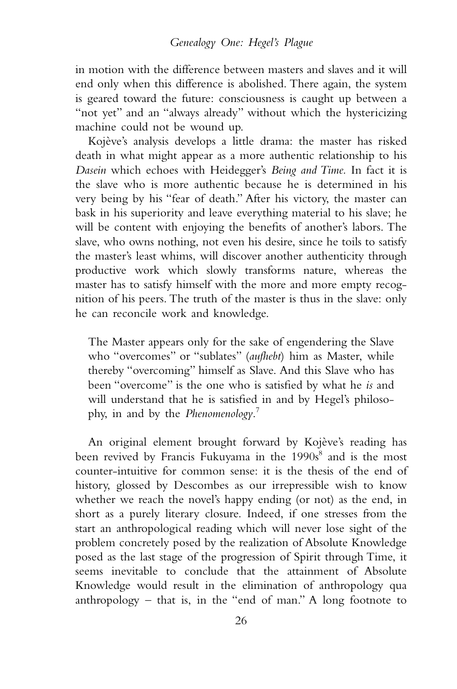in motion with the difference between masters and slaves and it will end only when this difference is abolished. There again, the system is geared toward the future: consciousness is caught up between a "not yet" and an "always already" without which the hystericizing machine could not be wound up.

Kojève's analysis develops a little drama: the master has risked death in what might appear as a more authentic relationship to his *Dasein* which echoes with Heidegger's *Being and Time.* In fact it is the slave who is more authentic because he is determined in his very being by his "fear of death." After his victory, the master can bask in his superiority and leave everything material to his slave; he will be content with enjoying the benefits of another's labors. The slave, who owns nothing, not even his desire, since he toils to satisfy the master's least whims, will discover another authenticity through productive work which slowly transforms nature, whereas the master has to satisfy himself with the more and more empty recognition of his peers. The truth of the master is thus in the slave: only he can reconcile work and knowledge.

The Master appears only for the sake of engendering the Slave who "overcomes" or "sublates" (*aufhebt*) him as Master, while thereby "overcoming" himself as Slave. And this Slave who has been "overcome" is the one who is satisfied by what he *is* and will understand that he is satisfied in and by Hegel's philosophy, in and by the *Phenomenology*. 7

An original element brought forward by Kojève's reading has been revived by Francis Fukuyama in the  $1990s<sup>8</sup>$  and is the most counter-intuitive for common sense: it is the thesis of the end of history, glossed by Descombes as our irrepressible wish to know whether we reach the novel's happy ending (or not) as the end, in short as a purely literary closure. Indeed, if one stresses from the start an anthropological reading which will never lose sight of the problem concretely posed by the realization of Absolute Knowledge posed as the last stage of the progression of Spirit through Time, it seems inevitable to conclude that the attainment of Absolute Knowledge would result in the elimination of anthropology qua anthropology – that is, in the "end of man." A long footnote to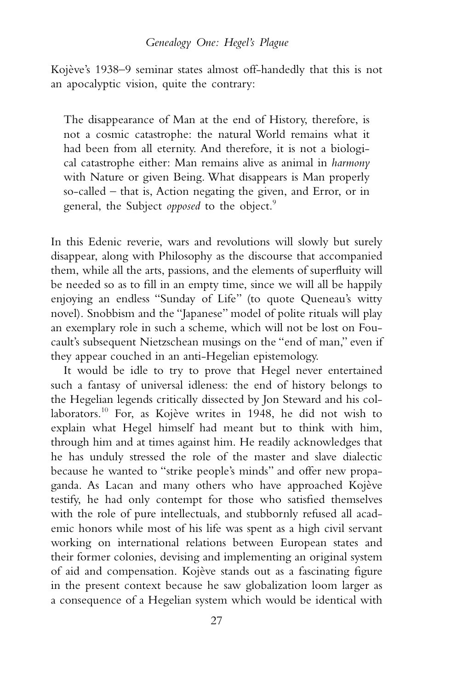Kojève's 1938–9 seminar states almost off-handedly that this is not an apocalyptic vision, quite the contrary:

The disappearance of Man at the end of History, therefore, is not a cosmic catastrophe: the natural World remains what it had been from all eternity. And therefore, it is not a biological catastrophe either: Man remains alive as animal in *harmony* with Nature or given Being. What disappears is Man properly so-called – that is, Action negating the given, and Error, or in general, the Subject *opposed* to the object.<sup>9</sup>

In this Edenic reverie, wars and revolutions will slowly but surely disappear, along with Philosophy as the discourse that accompanied them, while all the arts, passions, and the elements of superfluity will be needed so as to fill in an empty time, since we will all be happily enjoying an endless "Sunday of Life" (to quote Queneau's witty novel). Snobbism and the "Japanese" model of polite rituals will play an exemplary role in such a scheme, which will not be lost on Foucault's subsequent Nietzschean musings on the "end of man," even if they appear couched in an anti-Hegelian epistemology.

It would be idle to try to prove that Hegel never entertained such a fantasy of universal idleness: the end of history belongs to the Hegelian legends critically dissected by Jon Steward and his collaborators.10 For, as Kojève writes in 1948, he did not wish to explain what Hegel himself had meant but to think with him, through him and at times against him. He readily acknowledges that he has unduly stressed the role of the master and slave dialectic because he wanted to "strike people's minds" and offer new propaganda. As Lacan and many others who have approached Kojève testify, he had only contempt for those who satisfied themselves with the role of pure intellectuals, and stubbornly refused all academic honors while most of his life was spent as a high civil servant working on international relations between European states and their former colonies, devising and implementing an original system of aid and compensation. Kojève stands out as a fascinating figure in the present context because he saw globalization loom larger as a consequence of a Hegelian system which would be identical with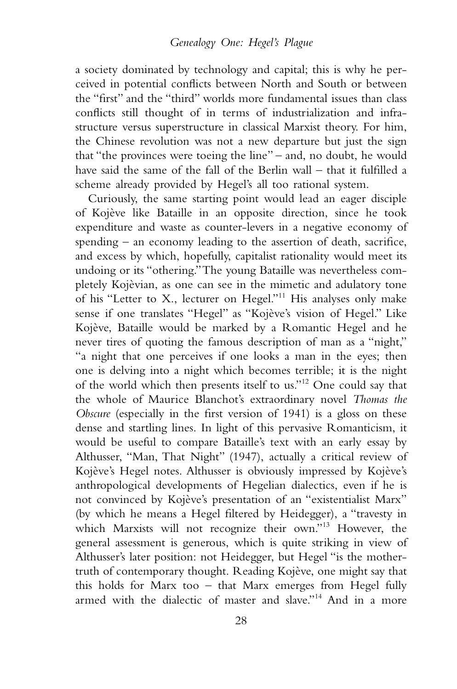a society dominated by technology and capital; this is why he perceived in potential conflicts between North and South or between the "first" and the "third" worlds more fundamental issues than class conflicts still thought of in terms of industrialization and infrastructure versus superstructure in classical Marxist theory. For him, the Chinese revolution was not a new departure but just the sign that "the provinces were toeing the line" – and, no doubt, he would have said the same of the fall of the Berlin wall – that it fulfilled a scheme already provided by Hegel's all too rational system.

Curiously, the same starting point would lead an eager disciple of Kojève like Bataille in an opposite direction, since he took expenditure and waste as counter-levers in a negative economy of spending – an economy leading to the assertion of death, sacrifice, and excess by which, hopefully, capitalist rationality would meet its undoing or its "othering."The young Bataille was nevertheless completely Kojèvian, as one can see in the mimetic and adulatory tone of his "Letter to X., lecturer on Hegel."11 His analyses only make sense if one translates "Hegel" as "Kojève's vision of Hegel." Like Kojève, Bataille would be marked by a Romantic Hegel and he never tires of quoting the famous description of man as a "night," "a night that one perceives if one looks a man in the eyes; then one is delving into a night which becomes terrible; it is the night of the world which then presents itself to us."12 One could say that the whole of Maurice Blanchot's extraordinary novel *Thomas the Obscure* (especially in the first version of 1941) is a gloss on these dense and startling lines. In light of this pervasive Romanticism, it would be useful to compare Bataille's text with an early essay by Althusser, "Man, That Night" (1947), actually a critical review of Kojève's Hegel notes. Althusser is obviously impressed by Kojève's anthropological developments of Hegelian dialectics, even if he is not convinced by Kojève's presentation of an "existentialist Marx" (by which he means a Hegel filtered by Heidegger), a "travesty in which Marxists will not recognize their own."13 However, the general assessment is generous, which is quite striking in view of Althusser's later position: not Heidegger, but Hegel "is the mothertruth of contemporary thought. Reading Kojève, one might say that this holds for Marx too – that Marx emerges from Hegel fully armed with the dialectic of master and slave."<sup>14</sup> And in a more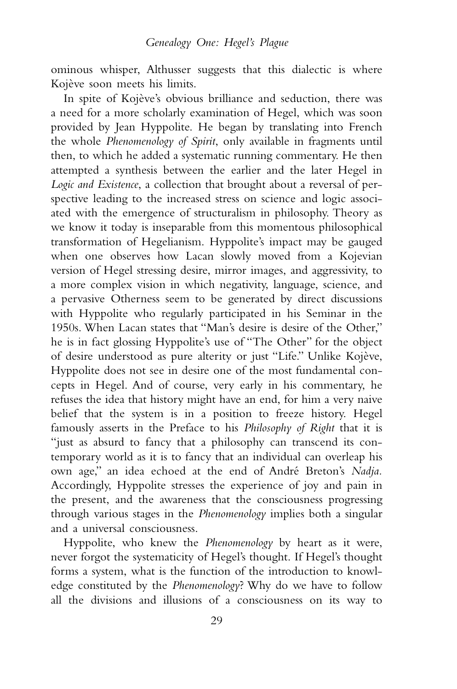ominous whisper, Althusser suggests that this dialectic is where Kojève soon meets his limits.

In spite of Kojève's obvious brilliance and seduction, there was a need for a more scholarly examination of Hegel, which was soon provided by Jean Hyppolite. He began by translating into French the whole *Phenomenology of Spirit*, only available in fragments until then, to which he added a systematic running commentary. He then attempted a synthesis between the earlier and the later Hegel in *Logic and Existence*, a collection that brought about a reversal of perspective leading to the increased stress on science and logic associated with the emergence of structuralism in philosophy. Theory as we know it today is inseparable from this momentous philosophical transformation of Hegelianism. Hyppolite's impact may be gauged when one observes how Lacan slowly moved from a Kojevian version of Hegel stressing desire, mirror images, and aggressivity, to a more complex vision in which negativity, language, science, and a pervasive Otherness seem to be generated by direct discussions with Hyppolite who regularly participated in his Seminar in the 1950s. When Lacan states that "Man's desire is desire of the Other," he is in fact glossing Hyppolite's use of "The Other" for the object of desire understood as pure alterity or just "Life." Unlike Kojève, Hyppolite does not see in desire one of the most fundamental concepts in Hegel. And of course, very early in his commentary, he refuses the idea that history might have an end, for him a very naive belief that the system is in a position to freeze history. Hegel famously asserts in the Preface to his *Philosophy of Right* that it is "just as absurd to fancy that a philosophy can transcend its contemporary world as it is to fancy that an individual can overleap his own age," an idea echoed at the end of André Breton's *Nadja.* Accordingly, Hyppolite stresses the experience of joy and pain in the present, and the awareness that the consciousness progressing through various stages in the *Phenomenology* implies both a singular and a universal consciousness.

Hyppolite, who knew the *Phenomenology* by heart as it were, never forgot the systematicity of Hegel's thought. If Hegel's thought forms a system, what is the function of the introduction to knowledge constituted by the *Phenomenology*? Why do we have to follow all the divisions and illusions of a consciousness on its way to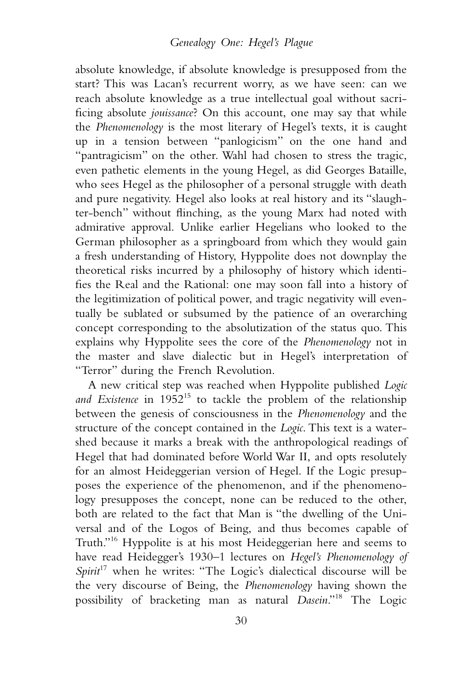absolute knowledge, if absolute knowledge is presupposed from the start? This was Lacan's recurrent worry, as we have seen: can we reach absolute knowledge as a true intellectual goal without sacrificing absolute *jouissance*? On this account, one may say that while the *Phenomenology* is the most literary of Hegel's texts, it is caught up in a tension between "panlogicism" on the one hand and "pantragicism" on the other. Wahl had chosen to stress the tragic, even pathetic elements in the young Hegel, as did Georges Bataille, who sees Hegel as the philosopher of a personal struggle with death and pure negativity. Hegel also looks at real history and its "slaughter-bench" without flinching, as the young Marx had noted with admirative approval. Unlike earlier Hegelians who looked to the German philosopher as a springboard from which they would gain a fresh understanding of History, Hyppolite does not downplay the theoretical risks incurred by a philosophy of history which identifies the Real and the Rational: one may soon fall into a history of the legitimization of political power, and tragic negativity will eventually be sublated or subsumed by the patience of an overarching concept corresponding to the absolutization of the status quo. This explains why Hyppolite sees the core of the *Phenomenology* not in the master and slave dialectic but in Hegel's interpretation of "Terror" during the French Revolution.

A new critical step was reached when Hyppolite published *Logic* and Existence in 1952<sup>15</sup> to tackle the problem of the relationship between the genesis of consciousness in the *Phenomenology* and the structure of the concept contained in the *Logic*. This text is a watershed because it marks a break with the anthropological readings of Hegel that had dominated before World War II, and opts resolutely for an almost Heideggerian version of Hegel. If the Logic presupposes the experience of the phenomenon, and if the phenomenology presupposes the concept, none can be reduced to the other, both are related to the fact that Man is "the dwelling of the Universal and of the Logos of Being, and thus becomes capable of Truth."16 Hyppolite is at his most Heideggerian here and seems to have read Heidegger's 1930–1 lectures on *Hegel's Phenomenology of Spirit*<sup>17</sup> when he writes: "The Logic's dialectical discourse will be the very discourse of Being, the *Phenomenology* having shown the possibility of bracketing man as natural *Dasein*."18 The Logic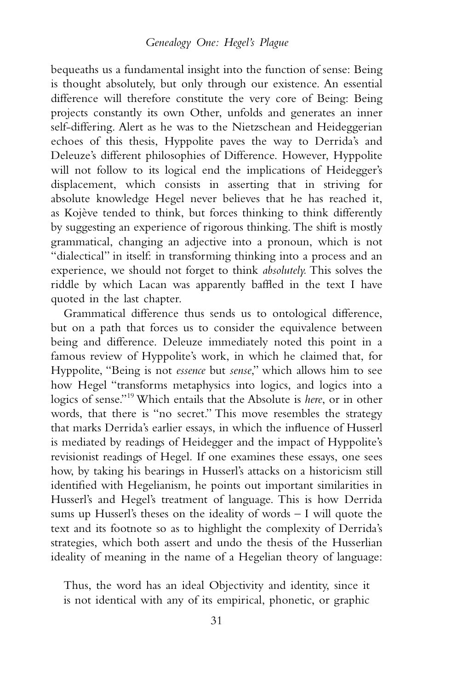bequeaths us a fundamental insight into the function of sense: Being is thought absolutely, but only through our existence. An essential difference will therefore constitute the very core of Being: Being projects constantly its own Other, unfolds and generates an inner self-differing. Alert as he was to the Nietzschean and Heideggerian echoes of this thesis, Hyppolite paves the way to Derrida's and Deleuze's different philosophies of Difference. However, Hyppolite will not follow to its logical end the implications of Heidegger's displacement, which consists in asserting that in striving for absolute knowledge Hegel never believes that he has reached it, as Kojève tended to think, but forces thinking to think differently by suggesting an experience of rigorous thinking. The shift is mostly grammatical, changing an adjective into a pronoun, which is not "dialectical" in itself: in transforming thinking into a process and an experience, we should not forget to think *absolutely.* This solves the riddle by which Lacan was apparently baffled in the text I have quoted in the last chapter.

Grammatical difference thus sends us to ontological difference, but on a path that forces us to consider the equivalence between being and difference. Deleuze immediately noted this point in a famous review of Hyppolite's work, in which he claimed that, for Hyppolite, "Being is not *essence* but *sense*," which allows him to see how Hegel "transforms metaphysics into logics, and logics into a logics of sense."19 Which entails that the Absolute is *here*, or in other words, that there is "no secret." This move resembles the strategy that marks Derrida's earlier essays, in which the influence of Husserl is mediated by readings of Heidegger and the impact of Hyppolite's revisionist readings of Hegel. If one examines these essays, one sees how, by taking his bearings in Husserl's attacks on a historicism still identified with Hegelianism, he points out important similarities in Husserl's and Hegel's treatment of language. This is how Derrida sums up Husserl's theses on the ideality of words – I will quote the text and its footnote so as to highlight the complexity of Derrida's strategies, which both assert and undo the thesis of the Husserlian ideality of meaning in the name of a Hegelian theory of language:

Thus, the word has an ideal Objectivity and identity, since it is not identical with any of its empirical, phonetic, or graphic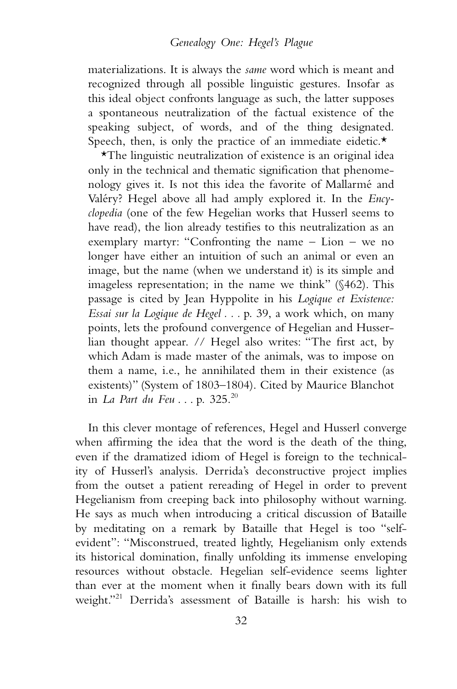materializations. It is always the *same* word which is meant and recognized through all possible linguistic gestures. Insofar as this ideal object confronts language as such, the latter supposes a spontaneous neutralization of the factual existence of the speaking subject, of words, and of the thing designated. Speech, then, is only the practice of an immediate eidetic. $\star$ 

\*The linguistic neutralization of existence is an original idea only in the technical and thematic signification that phenomenology gives it. Is not this idea the favorite of Mallarmé and Valéry? Hegel above all had amply explored it. In the *Encyclopedia* (one of the few Hegelian works that Husserl seems to have read), the lion already testifies to this neutralization as an exemplary martyr: "Confronting the name – Lion – we no longer have either an intuition of such an animal or even an image, but the name (when we understand it) is its simple and imageless representation; in the name we think" (§462). This passage is cited by Jean Hyppolite in his *Logique et Existence: Essai sur la Logique de Hegel . . .* p. 39, a work which, on many points, lets the profound convergence of Hegelian and Husserlian thought appear. // Hegel also writes: "The first act, by which Adam is made master of the animals, was to impose on them a name, i.e., he annihilated them in their existence (as existents)" (System of 1803–1804). Cited by Maurice Blanchot in *La Part du Feu* . . . p. 325.20

In this clever montage of references, Hegel and Husserl converge when affirming the idea that the word is the death of the thing, even if the dramatized idiom of Hegel is foreign to the technicality of Husserl's analysis. Derrida's deconstructive project implies from the outset a patient rereading of Hegel in order to prevent Hegelianism from creeping back into philosophy without warning. He says as much when introducing a critical discussion of Bataille by meditating on a remark by Bataille that Hegel is too "selfevident": "Misconstrued, treated lightly, Hegelianism only extends its historical domination, finally unfolding its immense enveloping resources without obstacle. Hegelian self-evidence seems lighter than ever at the moment when it finally bears down with its full weight."21 Derrida's assessment of Bataille is harsh: his wish to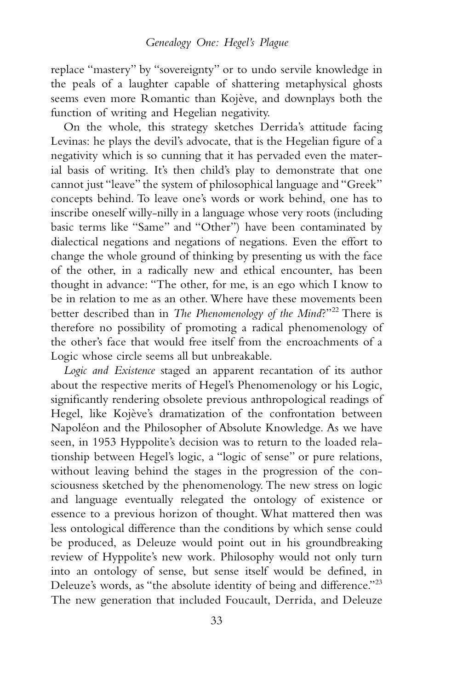replace "mastery" by "sovereignty" or to undo servile knowledge in the peals of a laughter capable of shattering metaphysical ghosts seems even more Romantic than Kojève, and downplays both the function of writing and Hegelian negativity.

On the whole, this strategy sketches Derrida's attitude facing Levinas: he plays the devil's advocate, that is the Hegelian figure of a negativity which is so cunning that it has pervaded even the material basis of writing. It's then child's play to demonstrate that one cannot just "leave" the system of philosophical language and "Greek" concepts behind. To leave one's words or work behind, one has to inscribe oneself willy-nilly in a language whose very roots (including basic terms like "Same" and "Other") have been contaminated by dialectical negations and negations of negations. Even the effort to change the whole ground of thinking by presenting us with the face of the other, in a radically new and ethical encounter, has been thought in advance: "The other, for me, is an ego which I know to be in relation to me as an other. Where have these movements been better described than in *The Phenomenology of the Mind*?"<sup>22</sup> There is therefore no possibility of promoting a radical phenomenology of the other's face that would free itself from the encroachments of a Logic whose circle seems all but unbreakable.

*Logic and Existence* staged an apparent recantation of its author about the respective merits of Hegel's Phenomenology or his Logic, significantly rendering obsolete previous anthropological readings of Hegel, like Kojève's dramatization of the confrontation between Napoléon and the Philosopher of Absolute Knowledge. As we have seen, in 1953 Hyppolite's decision was to return to the loaded relationship between Hegel's logic, a "logic of sense" or pure relations, without leaving behind the stages in the progression of the consciousness sketched by the phenomenology. The new stress on logic and language eventually relegated the ontology of existence or essence to a previous horizon of thought. What mattered then was less ontological difference than the conditions by which sense could be produced, as Deleuze would point out in his groundbreaking review of Hyppolite's new work. Philosophy would not only turn into an ontology of sense, but sense itself would be defined, in Deleuze's words, as "the absolute identity of being and difference."<sup>23</sup> The new generation that included Foucault, Derrida, and Deleuze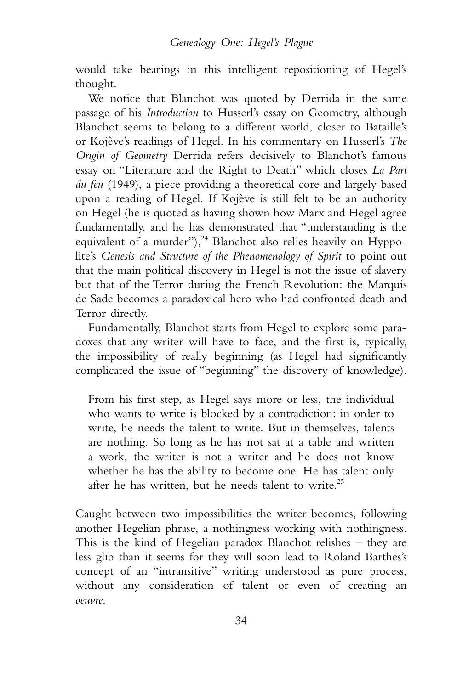would take bearings in this intelligent repositioning of Hegel's thought.

We notice that Blanchot was quoted by Derrida in the same passage of his *Introduction* to Husserl's essay on Geometry, although Blanchot seems to belong to a different world, closer to Bataille's or Kojève's readings of Hegel. In his commentary on Husserl's *The Origin of Geometry* Derrida refers decisively to Blanchot's famous essay on "Literature and the Right to Death" which closes *La Part du feu* (1949), a piece providing a theoretical core and largely based upon a reading of Hegel. If Kojève is still felt to be an authority on Hegel (he is quoted as having shown how Marx and Hegel agree fundamentally, and he has demonstrated that "understanding is the equivalent of a murder"), $^{24}$  Blanchot also relies heavily on Hyppolite's *Genesis and Structure of the Phenomenology of Spirit* to point out that the main political discovery in Hegel is not the issue of slavery but that of the Terror during the French Revolution: the Marquis de Sade becomes a paradoxical hero who had confronted death and Terror directly.

Fundamentally, Blanchot starts from Hegel to explore some paradoxes that any writer will have to face, and the first is, typically, the impossibility of really beginning (as Hegel had significantly complicated the issue of "beginning" the discovery of knowledge).

From his first step, as Hegel says more or less, the individual who wants to write is blocked by a contradiction: in order to write, he needs the talent to write. But in themselves, talents are nothing. So long as he has not sat at a table and written a work, the writer is not a writer and he does not know whether he has the ability to become one. He has talent only after he has written, but he needs talent to write. $^{25}$ 

Caught between two impossibilities the writer becomes, following another Hegelian phrase, a nothingness working with nothingness. This is the kind of Hegelian paradox Blanchot relishes – they are less glib than it seems for they will soon lead to Roland Barthes's concept of an "intransitive" writing understood as pure process, without any consideration of talent or even of creating an *oeuvre*.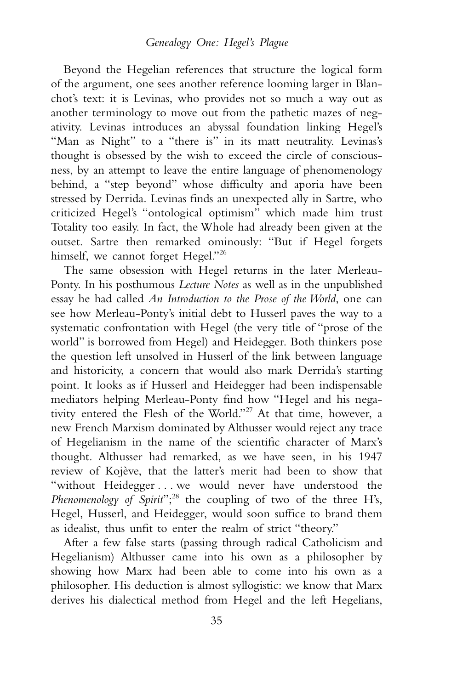Beyond the Hegelian references that structure the logical form of the argument, one sees another reference looming larger in Blanchot's text: it is Levinas, who provides not so much a way out as another terminology to move out from the pathetic mazes of negativity. Levinas introduces an abyssal foundation linking Hegel's "Man as Night" to a "there is" in its matt neutrality. Levinas's thought is obsessed by the wish to exceed the circle of consciousness, by an attempt to leave the entire language of phenomenology behind, a "step beyond" whose difficulty and aporia have been stressed by Derrida. Levinas finds an unexpected ally in Sartre, who criticized Hegel's "ontological optimism" which made him trust Totality too easily. In fact, the Whole had already been given at the outset. Sartre then remarked ominously: "But if Hegel forgets himself, we cannot forget Hegel."26

The same obsession with Hegel returns in the later Merleau-Ponty. In his posthumous *Lecture Notes* as well as in the unpublished essay he had called *An Introduction to the Prose of the World*, one can see how Merleau-Ponty's initial debt to Husserl paves the way to a systematic confrontation with Hegel (the very title of "prose of the world" is borrowed from Hegel) and Heidegger. Both thinkers pose the question left unsolved in Husserl of the link between language and historicity, a concern that would also mark Derrida's starting point. It looks as if Husserl and Heidegger had been indispensable mediators helping Merleau-Ponty find how "Hegel and his negativity entered the Flesh of the World."27 At that time, however, a new French Marxism dominated by Althusser would reject any trace of Hegelianism in the name of the scientific character of Marx's thought. Althusser had remarked, as we have seen, in his 1947 review of Kojève, that the latter's merit had been to show that "without Heidegger . . . we would never have understood the Phenomenology of Spirit";<sup>28</sup> the coupling of two of the three H's, Hegel, Husserl, and Heidegger, would soon suffice to brand them as idealist, thus unfit to enter the realm of strict "theory."

After a few false starts (passing through radical Catholicism and Hegelianism) Althusser came into his own as a philosopher by showing how Marx had been able to come into his own as a philosopher. His deduction is almost syllogistic: we know that Marx derives his dialectical method from Hegel and the left Hegelians,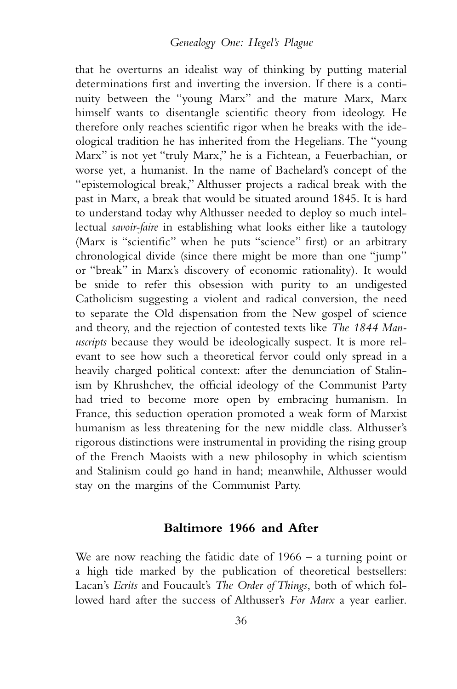that he overturns an idealist way of thinking by putting material determinations first and inverting the inversion. If there is a continuity between the "young Marx" and the mature Marx, Marx himself wants to disentangle scientific theory from ideology. He therefore only reaches scientific rigor when he breaks with the ideological tradition he has inherited from the Hegelians. The "young Marx" is not yet "truly Marx," he is a Fichtean, a Feuerbachian, or worse yet, a humanist. In the name of Bachelard's concept of the "epistemological break," Althusser projects a radical break with the past in Marx, a break that would be situated around 1845. It is hard to understand today why Althusser needed to deploy so much intellectual *savoir-faire* in establishing what looks either like a tautology (Marx is "scientific" when he puts "science" first) or an arbitrary chronological divide (since there might be more than one "jump" or "break" in Marx's discovery of economic rationality). It would be snide to refer this obsession with purity to an undigested Catholicism suggesting a violent and radical conversion, the need to separate the Old dispensation from the New gospel of science and theory, and the rejection of contested texts like *The 1844 Manuscripts* because they would be ideologically suspect. It is more relevant to see how such a theoretical fervor could only spread in a heavily charged political context: after the denunciation of Stalinism by Khrushchev, the official ideology of the Communist Party had tried to become more open by embracing humanism. In France, this seduction operation promoted a weak form of Marxist humanism as less threatening for the new middle class. Althusser's rigorous distinctions were instrumental in providing the rising group of the French Maoists with a new philosophy in which scientism and Stalinism could go hand in hand; meanwhile, Althusser would stay on the margins of the Communist Party.

### **Baltimore 1966 and After**

We are now reaching the fatidic date of  $1966 - a$  turning point or a high tide marked by the publication of theoretical bestsellers: Lacan's *Ecrits* and Foucault's *The Order of Things*, both of which followed hard after the success of Althusser's *For Marx* a year earlier.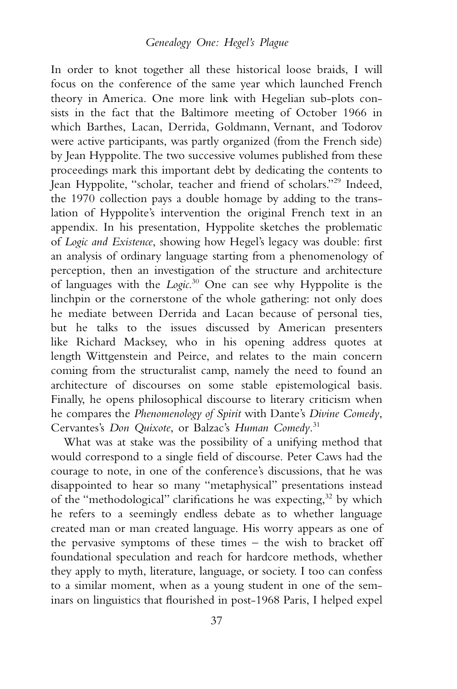In order to knot together all these historical loose braids, I will focus on the conference of the same year which launched French theory in America. One more link with Hegelian sub-plots consists in the fact that the Baltimore meeting of October 1966 in which Barthes, Lacan, Derrida, Goldmann, Vernant, and Todorov were active participants, was partly organized (from the French side) by Jean Hyppolite. The two successive volumes published from these proceedings mark this important debt by dedicating the contents to Jean Hyppolite, "scholar, teacher and friend of scholars."29 Indeed, the 1970 collection pays a double homage by adding to the translation of Hyppolite's intervention the original French text in an appendix. In his presentation, Hyppolite sketches the problematic of *Logic and Existence*, showing how Hegel's legacy was double: first an analysis of ordinary language starting from a phenomenology of perception, then an investigation of the structure and architecture of languages with the *Logic*. <sup>30</sup> One can see why Hyppolite is the linchpin or the cornerstone of the whole gathering: not only does he mediate between Derrida and Lacan because of personal ties, but he talks to the issues discussed by American presenters like Richard Macksey, who in his opening address quotes at length Wittgenstein and Peirce, and relates to the main concern coming from the structuralist camp, namely the need to found an architecture of discourses on some stable epistemological basis. Finally, he opens philosophical discourse to literary criticism when he compares the *Phenomenology of Spirit* with Dante's *Divine Comedy*, Cervantes's *Don Quixote*, or Balzac's *Human Comedy*. 31

What was at stake was the possibility of a unifying method that would correspond to a single field of discourse. Peter Caws had the courage to note, in one of the conference's discussions, that he was disappointed to hear so many "metaphysical" presentations instead of the "methodological" clarifications he was expecting,<sup>32</sup> by which he refers to a seemingly endless debate as to whether language created man or man created language. His worry appears as one of the pervasive symptoms of these times – the wish to bracket off foundational speculation and reach for hardcore methods, whether they apply to myth, literature, language, or society. I too can confess to a similar moment, when as a young student in one of the seminars on linguistics that flourished in post-1968 Paris, I helped expel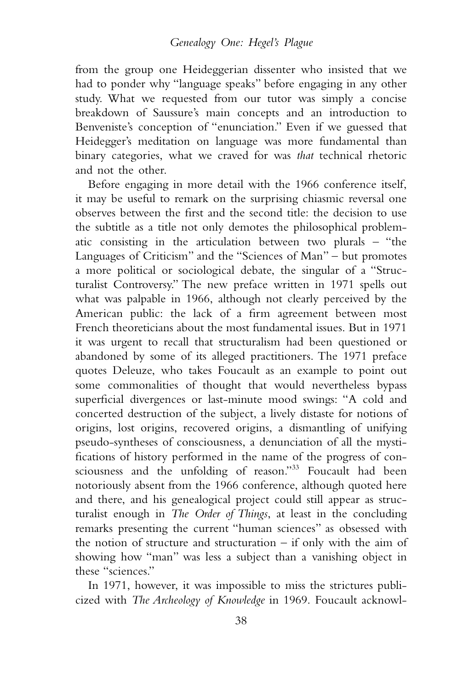from the group one Heideggerian dissenter who insisted that we had to ponder why "language speaks" before engaging in any other study. What we requested from our tutor was simply a concise breakdown of Saussure's main concepts and an introduction to Benveniste's conception of "enunciation." Even if we guessed that Heidegger's meditation on language was more fundamental than binary categories, what we craved for was *that* technical rhetoric and not the other.

Before engaging in more detail with the 1966 conference itself, it may be useful to remark on the surprising chiasmic reversal one observes between the first and the second title: the decision to use the subtitle as a title not only demotes the philosophical problematic consisting in the articulation between two plurals – "the Languages of Criticism" and the "Sciences of Man" – but promotes a more political or sociological debate, the singular of a "Structuralist Controversy." The new preface written in 1971 spells out what was palpable in 1966, although not clearly perceived by the American public: the lack of a firm agreement between most French theoreticians about the most fundamental issues. But in 1971 it was urgent to recall that structuralism had been questioned or abandoned by some of its alleged practitioners. The 1971 preface quotes Deleuze, who takes Foucault as an example to point out some commonalities of thought that would nevertheless bypass superficial divergences or last-minute mood swings: "A cold and concerted destruction of the subject, a lively distaste for notions of origins, lost origins, recovered origins, a dismantling of unifying pseudo-syntheses of consciousness, a denunciation of all the mystifications of history performed in the name of the progress of consciousness and the unfolding of reason."33 Foucault had been notoriously absent from the 1966 conference, although quoted here and there, and his genealogical project could still appear as structuralist enough in *The Order of Things*, at least in the concluding remarks presenting the current "human sciences" as obsessed with the notion of structure and structuration  $-$  if only with the aim of showing how "man" was less a subject than a vanishing object in these "sciences."

In 1971, however, it was impossible to miss the strictures publicized with *The Archeology of Knowledge* in 1969. Foucault acknowl-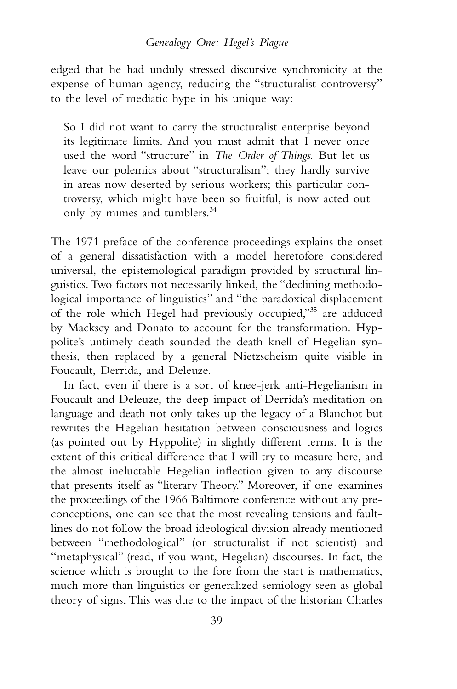edged that he had unduly stressed discursive synchronicity at the expense of human agency, reducing the "structuralist controversy" to the level of mediatic hype in his unique way:

So I did not want to carry the structuralist enterprise beyond its legitimate limits. And you must admit that I never once used the word "structure" in *The Order of Things.* But let us leave our polemics about "structuralism"; they hardly survive in areas now deserted by serious workers; this particular controversy, which might have been so fruitful, is now acted out only by mimes and tumblers.<sup>34</sup>

The 1971 preface of the conference proceedings explains the onset of a general dissatisfaction with a model heretofore considered universal, the epistemological paradigm provided by structural linguistics. Two factors not necessarily linked, the "declining methodological importance of linguistics" and "the paradoxical displacement of the role which Hegel had previously occupied,"35 are adduced by Macksey and Donato to account for the transformation. Hyppolite's untimely death sounded the death knell of Hegelian synthesis, then replaced by a general Nietzscheism quite visible in Foucault, Derrida, and Deleuze.

In fact, even if there is a sort of knee-jerk anti-Hegelianism in Foucault and Deleuze, the deep impact of Derrida's meditation on language and death not only takes up the legacy of a Blanchot but rewrites the Hegelian hesitation between consciousness and logics (as pointed out by Hyppolite) in slightly different terms. It is the extent of this critical difference that I will try to measure here, and the almost ineluctable Hegelian inflection given to any discourse that presents itself as "literary Theory." Moreover, if one examines the proceedings of the 1966 Baltimore conference without any preconceptions, one can see that the most revealing tensions and faultlines do not follow the broad ideological division already mentioned between "methodological" (or structuralist if not scientist) and "metaphysical" (read, if you want, Hegelian) discourses. In fact, the science which is brought to the fore from the start is mathematics, much more than linguistics or generalized semiology seen as global theory of signs. This was due to the impact of the historian Charles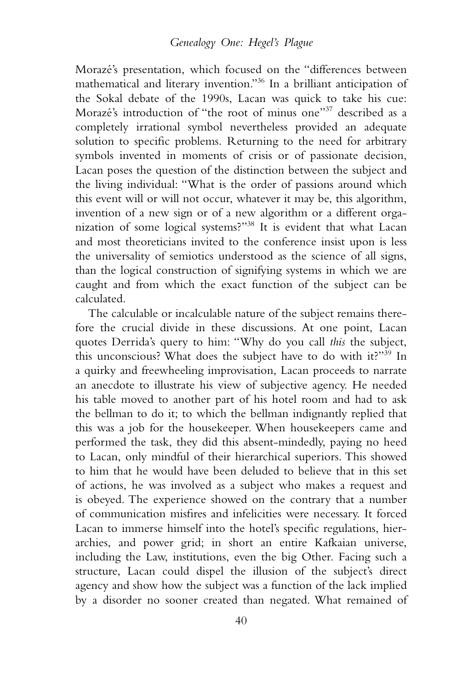Morazé's presentation, which focused on the "differences between mathematical and literary invention."36 In a brilliant anticipation of the Sokal debate of the 1990s, Lacan was quick to take his cue: Morazé's introduction of "the root of minus one"<sup>37</sup> described as a completely irrational symbol nevertheless provided an adequate solution to specific problems. Returning to the need for arbitrary symbols invented in moments of crisis or of passionate decision, Lacan poses the question of the distinction between the subject and the living individual: "What is the order of passions around which this event will or will not occur, whatever it may be, this algorithm, invention of a new sign or of a new algorithm or a different organization of some logical systems?"38 It is evident that what Lacan and most theoreticians invited to the conference insist upon is less the universality of semiotics understood as the science of all signs, than the logical construction of signifying systems in which we are caught and from which the exact function of the subject can be calculated.

The calculable or incalculable nature of the subject remains therefore the crucial divide in these discussions. At one point, Lacan quotes Derrida's query to him: "Why do you call *this* the subject, this unconscious? What does the subject have to do with it?"39 In a quirky and freewheeling improvisation, Lacan proceeds to narrate an anecdote to illustrate his view of subjective agency. He needed his table moved to another part of his hotel room and had to ask the bellman to do it; to which the bellman indignantly replied that this was a job for the housekeeper. When housekeepers came and performed the task, they did this absent-mindedly, paying no heed to Lacan, only mindful of their hierarchical superiors. This showed to him that he would have been deluded to believe that in this set of actions, he was involved as a subject who makes a request and is obeyed. The experience showed on the contrary that a number of communication misfires and infelicities were necessary. It forced Lacan to immerse himself into the hotel's specific regulations, hierarchies, and power grid; in short an entire Kafkaian universe, including the Law, institutions, even the big Other. Facing such a structure, Lacan could dispel the illusion of the subject's direct agency and show how the subject was a function of the lack implied by a disorder no sooner created than negated. What remained of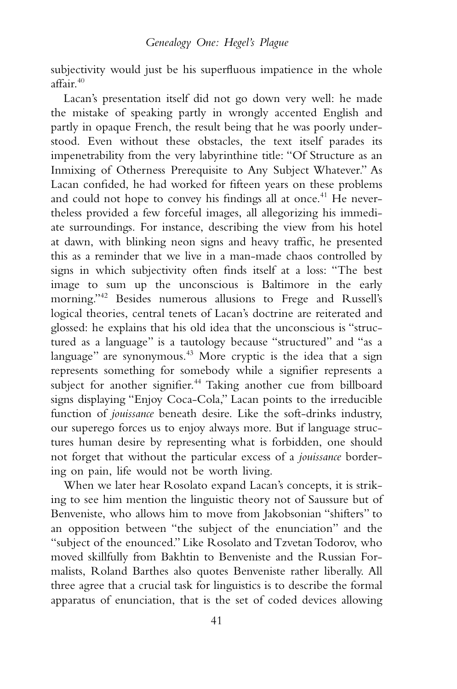subjectivity would just be his superfluous impatience in the whole affair.<sup>40</sup>

Lacan's presentation itself did not go down very well: he made the mistake of speaking partly in wrongly accented English and partly in opaque French, the result being that he was poorly understood. Even without these obstacles, the text itself parades its impenetrability from the very labyrinthine title: "Of Structure as an Inmixing of Otherness Prerequisite to Any Subject Whatever." As Lacan confided, he had worked for fifteen years on these problems and could not hope to convey his findings all at once.<sup>41</sup> He nevertheless provided a few forceful images, all allegorizing his immediate surroundings. For instance, describing the view from his hotel at dawn, with blinking neon signs and heavy traffic, he presented this as a reminder that we live in a man-made chaos controlled by signs in which subjectivity often finds itself at a loss: "The best image to sum up the unconscious is Baltimore in the early morning."42 Besides numerous allusions to Frege and Russell's logical theories, central tenets of Lacan's doctrine are reiterated and glossed: he explains that his old idea that the unconscious is "structured as a language" is a tautology because "structured" and "as a language" are synonymous. $43$  More cryptic is the idea that a sign represents something for somebody while a signifier represents a subject for another signifier.<sup>44</sup> Taking another cue from billboard signs displaying "Enjoy Coca-Cola," Lacan points to the irreducible function of *jouissance* beneath desire. Like the soft-drinks industry, our superego forces us to enjoy always more. But if language structures human desire by representing what is forbidden, one should not forget that without the particular excess of a *jouissance* bordering on pain, life would not be worth living.

When we later hear Rosolato expand Lacan's concepts, it is striking to see him mention the linguistic theory not of Saussure but of Benveniste, who allows him to move from Jakobsonian "shifters" to an opposition between "the subject of the enunciation" and the "subject of the enounced." Like Rosolato and Tzvetan Todorov, who moved skillfully from Bakhtin to Benveniste and the Russian Formalists, Roland Barthes also quotes Benveniste rather liberally. All three agree that a crucial task for linguistics is to describe the formal apparatus of enunciation, that is the set of coded devices allowing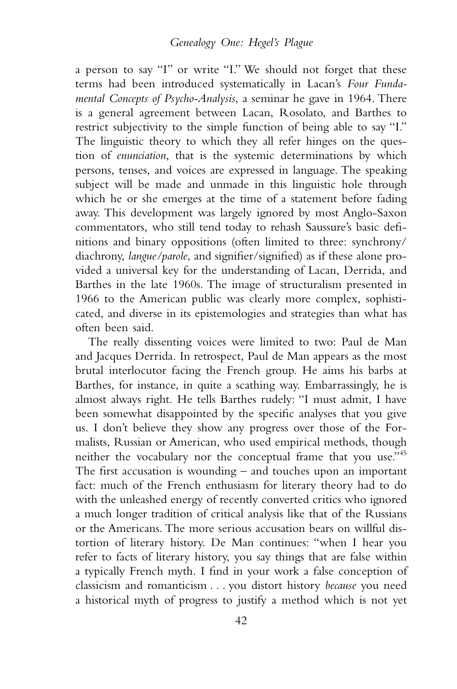a person to say "I" or write "I." We should not forget that these terms had been introduced systematically in Lacan's *Four Fundamental Concepts of Psycho-Analysis*, a seminar he gave in 1964. There is a general agreement between Lacan, Rosolato, and Barthes to restrict subjectivity to the simple function of being able to say "I." The linguistic theory to which they all refer hinges on the question of *enunciation*, that is the systemic determinations by which persons, tenses, and voices are expressed in language. The speaking subject will be made and unmade in this linguistic hole through which he or she emerges at the time of a statement before fading away. This development was largely ignored by most Anglo-Saxon commentators, who still tend today to rehash Saussure's basic definitions and binary oppositions (often limited to three: synchrony/ diachrony, *langue/parole*, and signifier/signified) as if these alone provided a universal key for the understanding of Lacan, Derrida, and Barthes in the late 1960s. The image of structuralism presented in 1966 to the American public was clearly more complex, sophisticated, and diverse in its epistemologies and strategies than what has often been said.

The really dissenting voices were limited to two: Paul de Man and Jacques Derrida. In retrospect, Paul de Man appears as the most brutal interlocutor facing the French group. He aims his barbs at Barthes, for instance, in quite a scathing way. Embarrassingly, he is almost always right. He tells Barthes rudely: "I must admit, I have been somewhat disappointed by the specific analyses that you give us. I don't believe they show any progress over those of the Formalists, Russian or American, who used empirical methods, though neither the vocabulary nor the conceptual frame that you use."45 The first accusation is wounding – and touches upon an important fact: much of the French enthusiasm for literary theory had to do with the unleashed energy of recently converted critics who ignored a much longer tradition of critical analysis like that of the Russians or the Americans. The more serious accusation bears on willful distortion of literary history. De Man continues: "when I hear you refer to facts of literary history, you say things that are false within a typically French myth. I find in your work a false conception of classicism and romanticism . . . you distort history *because* you need a historical myth of progress to justify a method which is not yet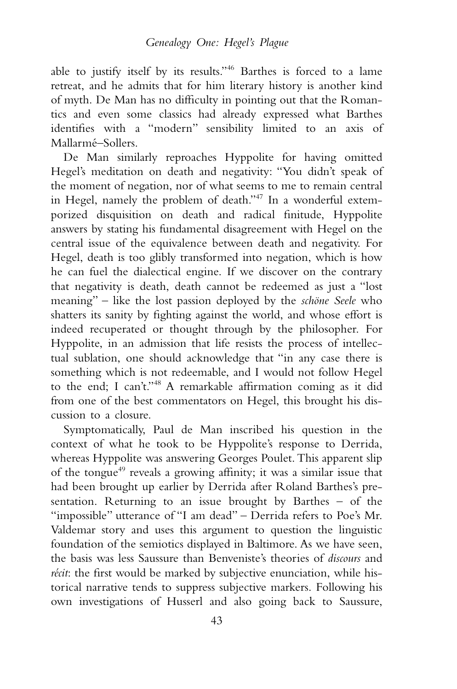able to justify itself by its results."46 Barthes is forced to a lame retreat, and he admits that for him literary history is another kind of myth. De Man has no difficulty in pointing out that the Romantics and even some classics had already expressed what Barthes identifies with a "modern" sensibility limited to an axis of Mallarmé–Sollers.

De Man similarly reproaches Hyppolite for having omitted Hegel's meditation on death and negativity: "You didn't speak of the moment of negation, nor of what seems to me to remain central in Hegel, namely the problem of death."47 In a wonderful extemporized disquisition on death and radical finitude, Hyppolite answers by stating his fundamental disagreement with Hegel on the central issue of the equivalence between death and negativity. For Hegel, death is too glibly transformed into negation, which is how he can fuel the dialectical engine. If we discover on the contrary that negativity is death, death cannot be redeemed as just a "lost meaning" – like the lost passion deployed by the *schöne Seele* who shatters its sanity by fighting against the world, and whose effort is indeed recuperated or thought through by the philosopher. For Hyppolite, in an admission that life resists the process of intellectual sublation, one should acknowledge that "in any case there is something which is not redeemable, and I would not follow Hegel to the end; I can't."48 A remarkable affirmation coming as it did from one of the best commentators on Hegel, this brought his discussion to a closure.

Symptomatically, Paul de Man inscribed his question in the context of what he took to be Hyppolite's response to Derrida, whereas Hyppolite was answering Georges Poulet. This apparent slip of the tongue<sup>49</sup> reveals a growing affinity; it was a similar issue that had been brought up earlier by Derrida after Roland Barthes's presentation. Returning to an issue brought by Barthes – of the "impossible" utterance of "I am dead" – Derrida refers to Poe's Mr. Valdemar story and uses this argument to question the linguistic foundation of the semiotics displayed in Baltimore. As we have seen, the basis was less Saussure than Benveniste's theories of *discours* and *récit*: the first would be marked by subjective enunciation, while historical narrative tends to suppress subjective markers. Following his own investigations of Husserl and also going back to Saussure,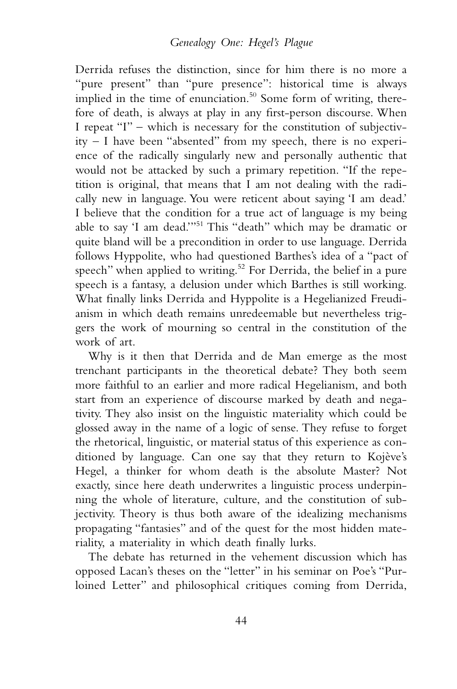Derrida refuses the distinction, since for him there is no more a "pure present" than "pure presence": historical time is always implied in the time of enunciation.<sup>50</sup> Some form of writing, therefore of death, is always at play in any first-person discourse. When I repeat "I" – which is necessary for the constitution of subjectivity – I have been "absented" from my speech, there is no experience of the radically singularly new and personally authentic that would not be attacked by such a primary repetition. "If the repetition is original, that means that I am not dealing with the radically new in language. You were reticent about saying 'I am dead.' I believe that the condition for a true act of language is my being able to say 'I am dead.'"51 This "death" which may be dramatic or quite bland will be a precondition in order to use language. Derrida follows Hyppolite, who had questioned Barthes's idea of a "pact of speech" when applied to writing.<sup>52</sup> For Derrida, the belief in a pure speech is a fantasy, a delusion under which Barthes is still working. What finally links Derrida and Hyppolite is a Hegelianized Freudianism in which death remains unredeemable but nevertheless triggers the work of mourning so central in the constitution of the work of art.

Why is it then that Derrida and de Man emerge as the most trenchant participants in the theoretical debate? They both seem more faithful to an earlier and more radical Hegelianism, and both start from an experience of discourse marked by death and negativity. They also insist on the linguistic materiality which could be glossed away in the name of a logic of sense. They refuse to forget the rhetorical, linguistic, or material status of this experience as conditioned by language. Can one say that they return to Kojève's Hegel, a thinker for whom death is the absolute Master? Not exactly, since here death underwrites a linguistic process underpinning the whole of literature, culture, and the constitution of subjectivity. Theory is thus both aware of the idealizing mechanisms propagating "fantasies" and of the quest for the most hidden materiality, a materiality in which death finally lurks.

The debate has returned in the vehement discussion which has opposed Lacan's theses on the "letter" in his seminar on Poe's "Purloined Letter" and philosophical critiques coming from Derrida,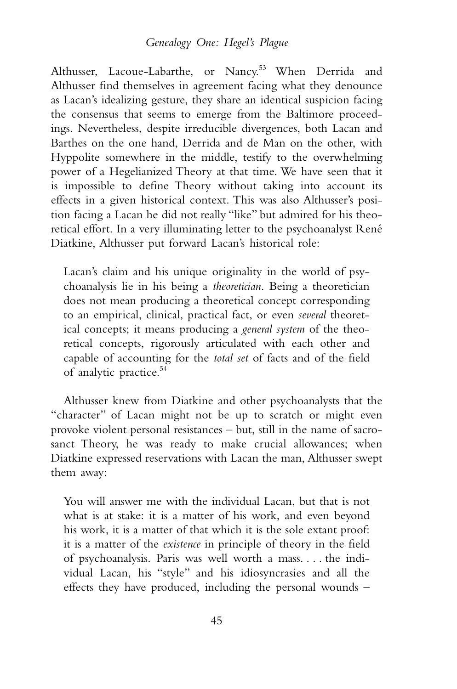Althusser, Lacoue-Labarthe, or Nancy.<sup>53</sup> When Derrida and Althusser find themselves in agreement facing what they denounce as Lacan's idealizing gesture, they share an identical suspicion facing the consensus that seems to emerge from the Baltimore proceedings. Nevertheless, despite irreducible divergences, both Lacan and Barthes on the one hand, Derrida and de Man on the other, with Hyppolite somewhere in the middle, testify to the overwhelming power of a Hegelianized Theory at that time. We have seen that it is impossible to define Theory without taking into account its effects in a given historical context. This was also Althusser's position facing a Lacan he did not really "like" but admired for his theoretical effort. In a very illuminating letter to the psychoanalyst René Diatkine, Althusser put forward Lacan's historical role:

Lacan's claim and his unique originality in the world of psychoanalysis lie in his being a *theoretician*. Being a theoretician does not mean producing a theoretical concept corresponding to an empirical, clinical, practical fact, or even *several* theoretical concepts; it means producing a *general system* of the theoretical concepts, rigorously articulated with each other and capable of accounting for the *total set* of facts and of the field of analytic practice.54

Althusser knew from Diatkine and other psychoanalysts that the "character" of Lacan might not be up to scratch or might even provoke violent personal resistances – but, still in the name of sacrosanct Theory, he was ready to make crucial allowances; when Diatkine expressed reservations with Lacan the man, Althusser swept them away:

You will answer me with the individual Lacan, but that is not what is at stake: it is a matter of his work, and even beyond his work, it is a matter of that which it is the sole extant proof: it is a matter of the *existence* in principle of theory in the field of psychoanalysis. Paris was well worth a mass. . . . the individual Lacan, his "style" and his idiosyncrasies and all the effects they have produced, including the personal wounds –